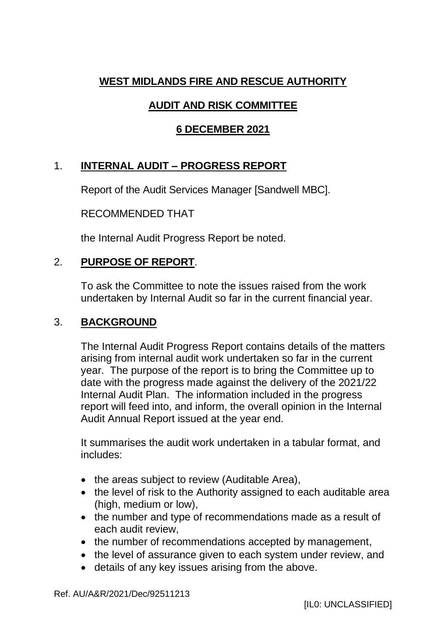## **WEST MIDLANDS FIRE AND RESCUE AUTHORITY**

# **AUDIT AND RISK COMMITTEE**

## **6 DECEMBER 2021**

# 1. **INTERNAL AUDIT – PROGRESS REPORT**

Report of the Audit Services Manager [Sandwell MBC].

RECOMMENDED THAT

the Internal Audit Progress Report be noted.

## 2. **PURPOSE OF REPORT**.

To ask the Committee to note the issues raised from the work undertaken by Internal Audit so far in the current financial year.

## 3. **BACKGROUND**

The Internal Audit Progress Report contains details of the matters arising from internal audit work undertaken so far in the current year. The purpose of the report is to bring the Committee up to date with the progress made against the delivery of the 2021/22 Internal Audit Plan. The information included in the progress report will feed into, and inform, the overall opinion in the Internal Audit Annual Report issued at the year end.

It summarises the audit work undertaken in a tabular format, and includes:

- the areas subject to review (Auditable Area),
- the level of risk to the Authority assigned to each auditable area (high, medium or low),
- the number and type of recommendations made as a result of each audit review,
- the number of recommendations accepted by management,
- the level of assurance given to each system under review, and
- details of any key issues arising from the above.